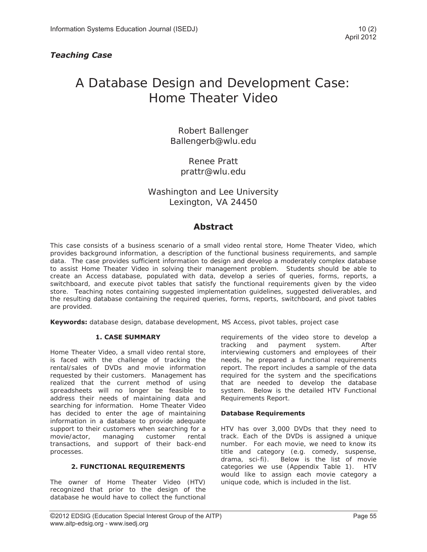# A Database Design and Development Case: Home Theater Video

Robert Ballenger Ballengerb@wlu.edu

> Renee Pratt prattr@wlu.edu

# Washington and Lee University Lexington, VA 24450

# **Abstract**

This case consists of a business scenario of a small video rental store, Home Theater Video, which provides background information, a description of the functional business requirements, and sample data. The case provides sufficient information to design and develop a moderately complex database to assist Home Theater Video in solving their management problem. Students should be able to create an Access database, populated with data, develop a series of queries, forms, reports, a switchboard, and execute pivot tables that satisfy the functional requirements given by the video store. Teaching notes containing suggested implementation guidelines, suggested deliverables, and the resulting database containing the required queries, forms, reports, switchboard, and pivot tables are provided.

**Keywords:** database design, database development, MS Access, pivot tables, project case

### **1. CASE SUMMARY**

Home Theater Video, a small video rental store, is faced with the challenge of tracking the rental/sales of DVDs and movie information requested by their customers. Management has realized that the current method of using spreadsheets will no longer be feasible to address their needs of maintaining data and searching for information. Home Theater Video has decided to enter the age of maintaining information in a database to provide adequate support to their customers when searching for a movie/actor, managing customer rental transactions, and support of their back-end processes.

### **2. FUNCTIONAL REQUIREMENTS**

The owner of Home Theater Video (HTV) recognized that prior to the design of the database he would have to collect the functional requirements of the video store to develop a tracking and payment system. After interviewing customers and employees of their needs, he prepared a functional requirements report. The report includes a sample of the data required for the system and the specifications that are needed to develop the database system. Below is the detailed HTV Functional Requirements Report.

### **Database Requirements**

HTV has over 3,000 DVDs that they need to track. Each of the DVDs is assigned a unique number. For each movie, we need to know its title and category (e.g. comedy, suspense, drama, sci-fi). Below is the list of movie categories we use (Appendix Table 1). HTV would like to assign each movie category a unique code, which is included in the list.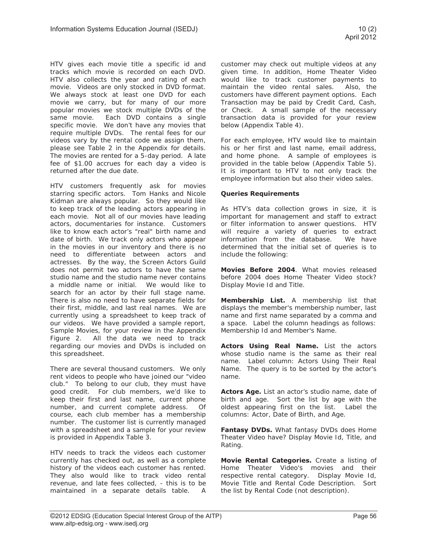HTV gives each movie title a specific id and tracks which movie is recorded on each DVD. HTV also collects the year and rating of each movie. Videos are only stocked in DVD format. We always stock at least one DVD for each movie we carry, but for many of our more popular movies we stock multiple DVDs of the same movie. Each DVD contains a single specific movie. We don't have any movies that require multiple DVDs. The rental fees for our videos vary by the rental code we assign them, please see Table 2 in the Appendix for details. The movies are rented for a 5-day period. A late fee of \$1.00 accrues for each day a video is returned after the due date.

HTV customers frequently ask for movies starring specific actors. Tom Hanks and Nicole Kidman are always popular. So they would like to keep track of the leading actors appearing in each movie. Not all of our movies have leading actors, documentaries for instance. Customers like to know each actor's "real" birth name and date of birth. We track only actors who appear in the movies in our inventory and there is no need to differentiate between actors and actresses. By the way, the Screen Actors Guild does not permit two actors to have the same studio name and the studio name never contains a middle name or initial. We would like to search for an actor by their full stage name. There is also no need to have separate fields for their first, middle, and last real names. We are currently using a spreadsheet to keep track of our videos. We have provided a sample report, Sample Movies, for your review in the Appendix Figure 2. All the data we need to track regarding our movies and DVDs is included on this spreadsheet.

There are several thousand customers. We only rent videos to people who have joined our "video club." To belong to our club, they must have good credit. For club members, we'd like to keep their first and last name, current phone number, and current complete address. Of course, each club member has a membership number. The customer list is currently managed with a spreadsheet and a sample for your review is provided in Appendix Table 3.

HTV needs to track the videos each customer currently has checked out, as well as a complete history of the videos each customer has rented. They also would like to track video rental revenue, and late fees collected, - this is to be maintained in a separate details table. A customer may check out multiple videos at any given time. In addition, Home Theater Video would like to track customer payments to maintain the video rental sales. Also, the customers have different payment options. Each Transaction may be paid by Credit Card, Cash, or Check. A small sample of the necessary transaction data is provided for your review below (Appendix Table 4).

For each employee, HTV would like to maintain his or her first and last name, email address, and home phone. A sample of employees is provided in the table below (Appendix Table 5). It is important to HTV to not only track the employee information but also their video sales.

### **Queries Requirements**

As HTV's data collection grows in size, it is important for management and staff to extract or filter information to answer questions. HTV will require a variety of queries to extract information from the database. We have determined that the initial set of queries is to include the following:

**Movies Before 2004**. What movies released before 2004 does Home Theater Video stock? Display Movie Id and Title.

**Membership List.** A membership list that displays the member's membership number, last name and first name separated by a comma and a space. Label the column headings as follows: Membership Id and Member's Name.

**Actors Using Real Name.** List the actors whose studio name is the same as their real name. Label column: Actors Using Their Real Name. The query is to be sorted by the actor's name.

**Actors Age.** List an actor's studio name, date of birth and age. Sort the list by age with the oldest appearing first on the list. Label the columns: Actor, Date of Birth, and Age.

**Fantasy DVDs.** What fantasy DVDs does Home Theater Video have? Display Movie Id, Title, and Rating.

**Movie Rental Categories.** Create a listing of Home Theater Video's movies and their respective rental category. Display Movie Id, Movie Title and Rental Code Description. Sort the list by Rental Code (not description).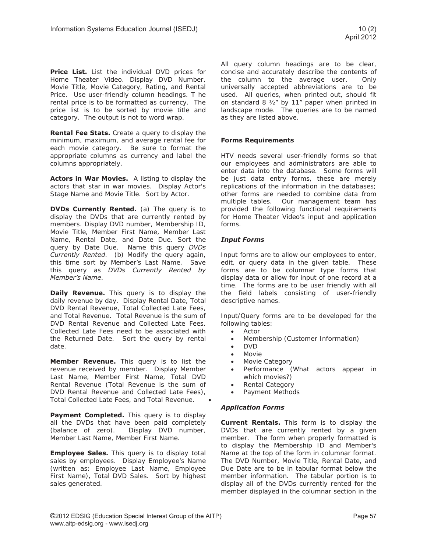**Price List.** List the individual DVD prices for Home Theater Video. Display DVD Number, Movie Title, Movie Category, Rating, and Rental Price. Use user-friendly column headings. T he rental price is to be formatted as currency. The price list is to be sorted by movie title and category. The output is not to word wrap.

**Rental Fee Stats.** Create a query to display the minimum, maximum, and average rental fee for each movie category. Be sure to format the appropriate columns as currency and label the columns appropriately.

**Actors in War Movies.** A listing to display the actors that star in war movies. Display Actor's Stage Name and Movie Title. Sort by Actor.

**DVDs Currently Rented.** (a) The query is to display the DVDs that are currently rented by members. Display DVD number, Membership ID, Movie Title, Member First Name, Member Last Name, Rental Date, and Date Due. Sort the query by Date Due. Name this query *DVDs Currently Rented*. (b) Modify the query again, this time sort by Member's Last Name. Save this query as *DVDs Currently Rented by Member's Name*.

**Daily Revenue.** This query is to display the daily revenue by day. Display Rental Date, Total DVD Rental Revenue, Total Collected Late Fees, and Total Revenue. Total Revenue is the sum of DVD Rental Revenue and Collected Late Fees. Collected Late Fees need to be associated with the Returned Date. Sort the query by rental date.

**Member Revenue.** This query is to list the revenue received by member. Display Member Last Name, Member First Name, Total DVD Rental Revenue (Total Revenue is the sum of DVD Rental Revenue and Collected Late Fees), Total Collected Late Fees, and Total Revenue.  $\bullet$ 

**Payment Completed.** This query is to display all the DVDs that have been paid completely (balance of zero). Display DVD number, Member Last Name, Member First Name.

**Employee Sales.** This query is to display total sales by employees. Display Employee's Name (written as: Employee Last Name, Employee First Name), Total DVD Sales. Sort by highest sales generated.

All query column headings are to be clear, concise and accurately describe the contents of the column to the average user. Only universally accepted abbreviations are to be used. All queries, when printed out, should fit on standard 8 ½" by 11" paper when printed in landscape mode. The queries are to be named as they are listed above.

### **Forms Requirements**

HTV needs several user-friendly forms so that our employees and administrators are able to enter data into the database. Some forms will be just data entry forms, these are merely replications of the information in the databases; other forms are needed to combine data from multiple tables. Our management team has provided the following functional requirements for Home Theater Video's input and application forms.

### *Input Forms*

Input forms are to allow our employees to enter, edit, or query data in the given table. These forms are to be columnar type forms that display data or allow for input of one record at a time. The forms are to be user friendly with all the field labels consisting of user-friendly descriptive names.

Input/Query forms are to be developed for the following tables:

- Actor
- Membership (Customer Information)
- x DVD
- **Movie**
- Movie Category
- Performance (What actors appear in which movies?)
- Rental Category
- Payment Methods

### *Application Forms*

**Current Rentals.** This form is to display the DVDs that are currently rented by a given member. The form when properly formatted is to display the Membership ID and Member's Name at the top of the form in columnar format. The DVD Number, Movie Title, Rental Date, and Due Date are to be in tabular format below the member information. The tabular portion is to display all of the DVDs currently rented for the member displayed in the columnar section in the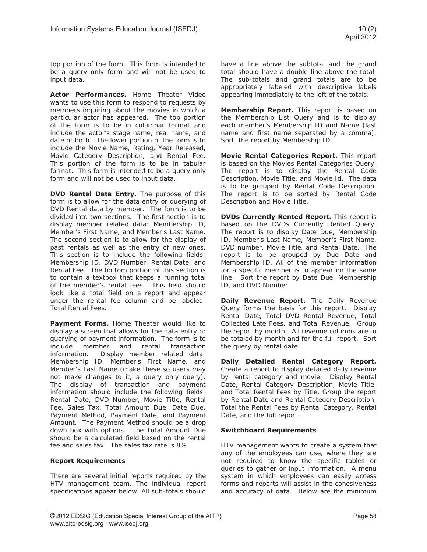top portion of the form. This form is intended to be a query only form and will not be used to input data.

**Actor Performances.** Home Theater Video wants to use this form to respond to requests by members inquiring about the movies in which a particular actor has appeared. The top portion of the form is to be in columnar format and include the actor's stage name, real name, and date of birth. The lower portion of the form is to include the Movie Name, Rating, Year Released, Movie Category Description, and Rental Fee. This portion of the form is to be in tabular format. This form is intended to be a query only form and will not be used to input data.

**DVD Rental Data Entry.** The purpose of this form is to allow for the data entry or querying of DVD Rental data by member. The form is to be divided into two sections. The first section is to display member related data: Membership ID, Member's First Name, and Member's Last Name. The second section is to allow for the display of past rentals as well as the entry of new ones. This section is to include the following fields: Membership ID, DVD Number, Rental Date, and Rental Fee. The bottom portion of this section is to contain a textbox that keeps a running total of the member's rental fees. This field should look like a total field on a report and appear under the rental fee column and be labeled: Total Rental Fees.

**Payment Forms.** Home Theater would like to display a screen that allows for the data entry or querying of payment information. The form is to<br>include member and rental transaction include member and rental transaction information. Display member related data: Membership ID, Member's First Name, and Member's Last Name (make these so users may not make changes to it, a query only query). The display of transaction and payment information should include the following fields: Rental Date, DVD Number, Movie Title, Rental Fee, Sales Tax, Total Amount Due, Date Due, Payment Method, Payment Date, and Payment Amount. The Payment Method should be a drop down box with options. The Total Amount Due should be a calculated field based on the rental fee and sales tax. The sales tax rate is 8%.

### **Report Requirements**

There are several initial reports required by the HTV management team. The individual report specifications appear below. All sub-totals should have a line above the subtotal and the grand total should have a double line above the total. The sub-totals and grand totals are to be appropriately labeled with descriptive labels appearing immediately to the left of the totals.

**Membership Report.** This report is based on the Membership List Query and is to display each member's Membership ID and Name (last name and first name separated by a comma). Sort the report by Membership ID.

**Movie Rental Categories Report.** This report is based on the Movies Rental Categories Query. The report is to display the Rental Code Description, Movie Title, and Movie Id. The data is to be grouped by Rental Code Description. The report is to be sorted by Rental Code Description and Movie Title.

**DVDs Currently Rented Report.** This report is based on the DVDs Currently Rented Query. The report is to display Date Due, Membership ID, Member's Last Name, Member's First Name, DVD number, Movie Title, and Rental Date. The report is to be grouped by Due Date and Membership ID. All of the member information for a specific member is to appear on the same line. Sort the report by Date Due, Membership ID, and DVD Number.

**Daily Revenue Report.** The Daily Revenue Query forms the basis for this report. Display Rental Date, Total DVD Rental Revenue, Total Collected Late Fees, and Total Revenue. Group the report by month. All revenue columns are to be totaled by month and for the full report. Sort the query by rental date.

**Daily Detailed Rental Category Report.**  Create a report to display detailed daily revenue by rental category and movie. Display Rental Date, Rental Category Description, Movie Title, and Total Rental Fees by Title. Group the report by Rental Date and Rental Category Description. Total the Rental Fees by Rental Category, Rental Date, and the full report.

### **Switchboard Requirements**

HTV management wants to create a system that any of the employees can use, where they are not required to know the specific tables or queries to gather or input information. A menu system in which employees can easily access forms and reports will assist in the cohesiveness and accuracy of data. Below are the minimum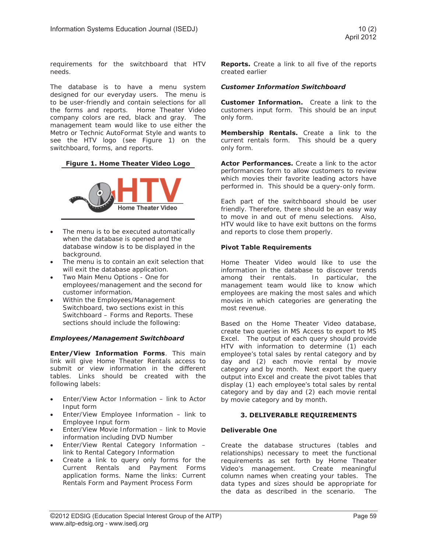requirements for the switchboard that HTV needs.

The database is to have a menu system designed for our everyday users. The menu is to be user-friendly and contain selections for all the forms and reports. Home Theater Video company colors are red, black and gray. The management team would like to use either the Metro or Technic AutoFormat Style and wants to see the HTV logo (see Figure 1) on the switchboard, forms, and reports.

### **Figure 1. Home Theater Video Logo**



- The menu is to be executed automatically when the database is opened and the database window is to be displayed in the background.
- The menu is to contain an exit selection that will exit the database application.
- Two Main Menu Options One for employees/management and the second for customer information.
- Within the Employees/Management Switchboard, two sections exist in this Switchboard – Forms and Reports. These sections should include the following:

### *Employees/Management Switchboard*

**Enter/View Information Forms**. This main link will give Home Theater Rentals access to submit or view information in the different tables. Links should be created with the following labels:

- Enter/View Actor Information link to Actor Input form
- Enter/View Employee Information link to Employee Input form
- Enter/View Movie Information link to Movie information including DVD Number
- Enter/View Rental Category Information link to Rental Category Information
- Create a link to query only forms for the Current Rentals and Payment Forms application forms. Name the links: Current Rentals Form and Payment Process Form

**Reports.** Create a link to all five of the reports created earlier

### *Customer Information Switchboard*

**Customer Information.** Create a link to the customers input form. This should be an input only form.

**Membership Rentals.** Create a link to the current rentals form. This should be a query only form.

**Actor Performances.** Create a link to the actor performances form to allow customers to review which movies their favorite leading actors have performed in. This should be a query-only form.

Each part of the switchboard should be user friendly. Therefore, there should be an easy way to move in and out of menu selections. Also, HTV would like to have exit buttons on the forms and reports to close them properly.

### **Pivot Table Requirements**

Home Theater Video would like to use the information in the database to discover trends among their rentals. In particular, the management team would like to know which employees are making the most sales and which movies in which categories are generating the most revenue.

Based on the Home Theater Video database, create two queries in MS Access to export to MS Excel. The output of each query should provide HTV with information to determine (1) each employee's total sales by rental category and by day and (2) each movie rental by movie category and by month. Next export the query output into Excel and create the pivot tables that display (1) each employee's total sales by rental category and by day and (2) each movie rental by movie category and by month.

### **3. DELIVERABLE REQUIREMENTS**

### **Deliverable One**

Create the database structures (tables and relationships) necessary to meet the functional requirements as set forth by Home Theater Video's management. Create meaningful column names when creating your tables. The data types and sizes should be appropriate for the data as described in the scenario. The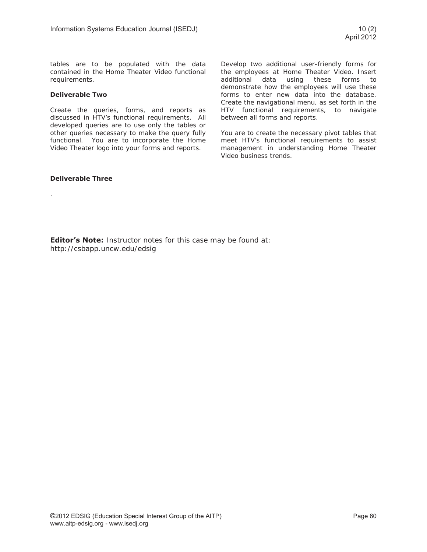tables are to be populated with the data contained in the Home Theater Video functional requirements.

### **Deliverable Two**

Create the queries, forms, and reports as discussed in HTV's functional requirements. All developed queries are to use only the tables or other queries necessary to make the query fully functional. You are to incorporate the Home Video Theater logo into your forms and reports.

### **Deliverable Three**

.

Develop two additional user-friendly forms for the employees at Home Theater Video. Insert additional data using these forms to demonstrate how the employees will use these forms to enter new data into the database. Create the navigational menu, as set forth in the HTV functional requirements, to navigate between all forms and reports.

You are to create the necessary pivot tables that meet HTV's functional requirements to assist management in understanding Home Theater Video business trends.

**Editor's Note:** Instructor notes for this case may be found at: http://csbapp.uncw.edu/edsig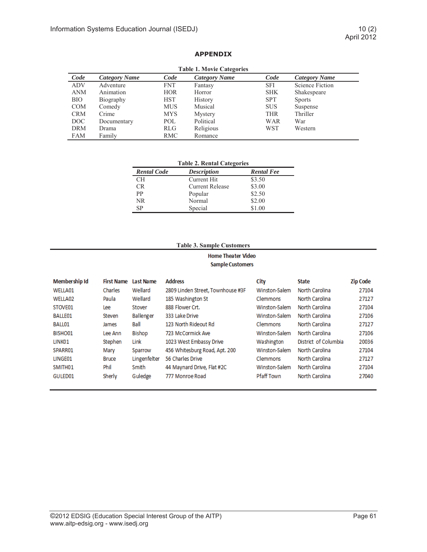## **APPENDIX**

| <b>Table 1. Movie Categories</b> |               |            |               |            |                      |  |  |  |  |
|----------------------------------|---------------|------------|---------------|------------|----------------------|--|--|--|--|
| Code                             | Category Name | Code       | Category Name | Code       | <b>Category Name</b> |  |  |  |  |
| <b>ADV</b>                       | Adventure     | FNT.       | Fantasy       | <b>SFI</b> | Science Fiction      |  |  |  |  |
| <b>ANM</b>                       | Animation     | <b>HOR</b> | Horror        | <b>SHK</b> | Shakespeare          |  |  |  |  |
| <b>BIO</b>                       | Biography     | <b>HST</b> | History       | <b>SPT</b> | <b>Sports</b>        |  |  |  |  |
| <b>COM</b>                       | Comedy        | <b>MUS</b> | Musical       | <b>SUS</b> | Suspense             |  |  |  |  |
| <b>CRM</b>                       | Crime         | <b>MYS</b> | Mystery       | <b>THR</b> | Thriller             |  |  |  |  |
| DOC                              | Documentary   | POL        | Political     | <b>WAR</b> | War                  |  |  |  |  |
| <b>DRM</b>                       | Drama         | <b>RLG</b> | Religious     | <b>WST</b> | Western              |  |  |  |  |
| <b>FAM</b>                       | Family        | <b>RMC</b> | Romance       |            |                      |  |  |  |  |

| <b>Rental Code</b> | <b>Description</b>     | <b>Rental Fee</b> |
|--------------------|------------------------|-------------------|
| CН                 | Current Hit            | \$3.50            |
| CR.                | <b>Current Release</b> | \$3.00            |
| PP                 | Popular                | \$2.50            |
| NR.                | Normal                 | \$2.00            |
| SP                 | Special                | \$1.00            |

### **Table 3. Sample Customers**

### **Home Theater Video Sample Customers**

| <b>Membership Id</b> | <b>First Name</b> | Last Name        | <b>Address</b>                    | City            | <b>State</b>         | <b>Zip Code</b> |
|----------------------|-------------------|------------------|-----------------------------------|-----------------|----------------------|-----------------|
| WELLA01              | Charles           | Wellard          | 2809 Linden Street, Townhouse #3F | Winston-Salem   | North Carolina       | 27104           |
| WELLA02              | Paula             | Wellard          | 185 Washington St                 | Clemmons        | North Carolina       | 27127           |
| STOVE01              | Lee               | Stover           | 888 Flower Crt.                   | Winston-Salem   | North Carolina       | 27104           |
| <b>BALLE01</b>       | Steven            | <b>Ballenger</b> | 333 Lake Drive                    | Winston-Salem   | North Carolina       | 27106           |
| BALL01               | James             | Ball             | 123 North Rideout Rd              | Clemmons        | North Carolina       | 27127           |
| BISHO01              | Lee Ann           | <b>Bishop</b>    | 723 McCormick Ave                 | Winston-Salem   | North Carolina       | 27106           |
| LINK01               | Stephen           | Link             | 1023 West Embassy Drive           | Washington      | District of Columbia | 20036           |
| SPARR01              | Mary              | Sparrow          | 456 Whitesburg Road, Apt. 200     | Winston-Salem   | North Carolina       | 27104           |
| LINGE01              | <b>Bruce</b>      | Lingenfelter     | 56 Charles Drive                  | <b>Clemmons</b> | North Carolina       | 27127           |
| SMITH <sub>01</sub>  | Phil              | Smith            | 44 Maynard Drive, Flat #2C        | Winston-Salem   | North Carolina       | 27104           |
| GULED01              | Sherly            | Guledge          | 777 Monroe Road                   | Pfaff Town      | North Carolina       | 27040           |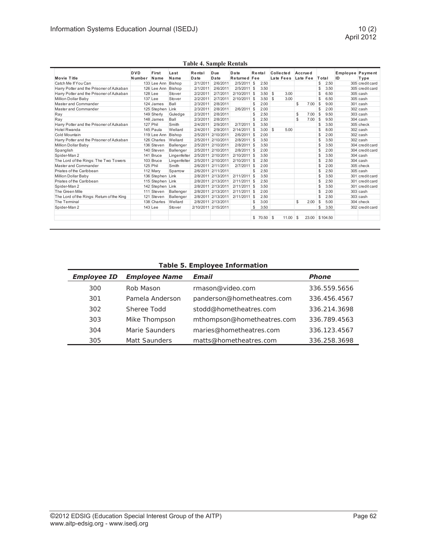|                                           | <b>DVD</b> | First            | Last         | Rental   | Due                 | Date           |               | Rental        | <b>Collected</b> |       |    | Accrued  |       |          | <b>Employee Payment</b> |                 |
|-------------------------------------------|------------|------------------|--------------|----------|---------------------|----------------|---------------|---------------|------------------|-------|----|----------|-------|----------|-------------------------|-----------------|
| <b>Movie Title</b>                        | Number     | Name             | Name         | Date     | Date                | Returned Fee   |               |               | Late Fees        |       |    | Late Fee | Total |          | ID                      | Type            |
| Catch Me If You Can                       |            | 133 Lee Ann      | Bishop       | 2/1/2011 | 2/6/2011            | 2/5/2011       | <sup>\$</sup> | 2.50          |                  |       |    |          | \$    | 2.50     |                         | 305 credit card |
| Harry Potter and the Prisoner of Azkaban  |            | 126 Lee Ann      | Bishop       | 2/1/2011 | 2/6/2011            | $2/5/2011$ \$  |               | 3.50          |                  |       |    |          | \$    | 3.50     |                         | 305 credit card |
| Harry Potter and the Prisoner of Azkaban  |            | 128 Lee          | Stover       | 2/2/2011 | 2/7/2011            | 2/10/2011 \$   |               | $3.50$ \$     |                  | 3.00  |    |          | \$    | 6.50     |                         | 305 cash        |
| Million Dollar Baby                       |            | 137 Lee          | Stover       | 2/2/2011 | 2/7/2011            | 2/10/2011 \$   |               | $3.50$ \$     |                  | 3.00  |    |          | \$    | 6.50     |                         | 305 cash        |
| Master and Commander                      |            | 124 James        | Ball         | 2/3/2011 | 2/8/2011            |                | \$            | 2.00          |                  |       | \$ | 7.00     | \$    | 9.00     |                         | 301 cash        |
| Master and Commander                      |            | 125 Stephen      | Link         | 2/3/2011 | 2/8/2011            | 2/6/2011       | <b>S</b>      | 2.00          |                  |       |    |          | \$    | 2.00     |                         | 302 cash        |
| Ray                                       |            | 149 Sherly       | Guledge      | 2/3/2011 | 2/8/2011            |                | \$            | 2.50          |                  |       | \$ | 7.00     | \$    | 9.50     |                         | 303 cash        |
| Ray                                       |            | 148 James        | Ball         | 2/3/2011 | 2/8/2011            |                | \$            | 2.50          |                  |       | \$ | 7.00     | \$    | 9.50     |                         | 304 cash        |
| Harry Potter and the Prisoner of Azkaban  |            | 127 Phil         | Smith        | 2/4/2011 | 2/9/2011            | $2/7/2011$ \$  |               | 3.50          |                  |       |    |          | \$    | 3.50     |                         | 305 check       |
| <b>Hotel Rwanda</b>                       |            | 145 Paula        | Wellard      | 2/4/2011 | 2/9/2011            | $2/14/2011$ \$ |               | $3.00$ \$     |                  | 5.00  |    |          | \$    | 8.00     |                         | 302 cash        |
| Cold Mountain                             |            | 119 Lee Ann      | Bishop       | 2/5/2011 | 2/10/2011           | $2/6/2011$ \$  |               | 2.00          |                  |       |    |          | \$    | 2.00     |                         | 302 cash        |
| Harry Potter and the Prisoner of Azkaban  |            | 126 Charles      | Wellard      |          | 2/5/2011 2/10/2011  | $2/8/2011$ \$  |               | 3.50          |                  |       |    |          | \$    | 3.50     |                         | 302 cash        |
| Million Dollar Baby                       |            | 136 Steven       | Ballenger    |          | 2/5/2011 2/10/2011  | 2/8/2011 \$    |               | 3.50          |                  |       |    |          | \$    | 3.50     |                         | 304 credit card |
| Spanglish                                 |            | 140 Steven       | Ballenger    |          | 2/5/2011 2/10/2011  | $2/8/2011$ \$  |               | 2.00          |                  |       |    |          | \$    | 2.00     |                         | 304 credit card |
| Spider-Man 2                              |            | 141 Bruce        | Lingenfelter |          | 2/5/2011 2/10/2011  | $2/10/2011$ \$ |               | 3.50          |                  |       |    |          | \$    | 3.50     |                         | 304 cash        |
| The Lord of the Rings: The Two Towers     |            | 103 Bruce        | Lingenfelter |          | 2/5/2011 2/10/2011  | 2/10/2011 \$   |               | 2.50          |                  |       |    |          | \$    | 2.50     |                         | 304 cash        |
| Master and Commander                      |            | 125 Phil         | Smith        |          | 2/6/2011 2/11/2011  | $2/7/2011$ \$  |               | 2.00          |                  |       |    |          | \$    | 2.00     |                         | 305 check       |
| Priates of the Caribbean                  |            | 112 Mary         | Sparrow      |          | 2/6/2011 2/11/2011  |                | \$            | 2.50          |                  |       |    |          | \$    | 2.50     |                         | 305 cash        |
| Million Dollar Baby                       |            | 136 Stephen Link |              |          | 2/8/2011 2/13/2011  | $2/11/2011$ \$ |               | 3.50          |                  |       |    |          | \$    | 3.50     |                         | 301 credit card |
| Priates of the Caribbean                  |            | 115 Stephen Link |              |          | 2/8/2011 2/13/2011  | $2/11/2011$ \$ |               | 2.50          |                  |       |    |          | \$    | 2.50     |                         | 301 credit card |
| Spider-Man 2                              |            | 142 Stephen Link |              |          | 2/8/2011 2/13/2011  | $2/11/2011$ \$ |               | 3.50          |                  |       |    |          | \$    | 3.50     |                         | 301 credit card |
| The Green Mile                            | 111        | Steven           | Ballenger    |          | 2/8/2011 2/13/2011  | $2/11/2011$ \$ |               | 2.00          |                  |       |    |          | \$    | 2.00     |                         | 303 cash        |
| The Lord of the Rings: Return of the King | 121        | Steven           | Ballenger    |          | 2/8/2011 2/13/2011  | $2/11/2011$ \$ |               | 2.50          |                  |       |    |          | \$    | 2.50     |                         | 303 cash        |
| The Terminal                              |            | 138 Charles      | Wellard      |          | 2/8/2011 2/13/2011  |                | \$            | 3.00          |                  |       | \$ | 2.00     | \$    | 5.00     |                         | 304 check       |
| Spider-Man 2                              |            | 143 Lee          | Stover       |          | 2/10/2011 2/15/2011 |                | \$            | 3.50          |                  |       |    |          | \$    | 3.50     |                         | 302 credit card |
|                                           |            |                  |              |          |                     |                |               | $$70.50$ \ \$ |                  | 11.00 | -S | 23.00    |       | \$104.50 |                         |                 |

**Table 4. Sample Rentals** 

**Table 5. Employee Information** 

| <b>Employee ID</b> | <b>Employee Name</b> | Email                      | <b>Phone</b> |
|--------------------|----------------------|----------------------------|--------------|
| 300                | Rob Mason            | rmason@video.com           | 336.559.5656 |
| 301                | Pamela Anderson      | panderson@hometheatres.com | 336.456.4567 |
| 302                | Sheree Todd          | stodd@hometheatres.com     | 336.214.3698 |
| 303                | Mike Thompson        | mthompson@hometheatres.com | 336.789.4563 |
| 304                | Marie Saunders       | maries@hometheatres.com    | 336.123.4567 |
| 305                | <b>Matt Saunders</b> | matts@hometheatres.com     | 336.258.3698 |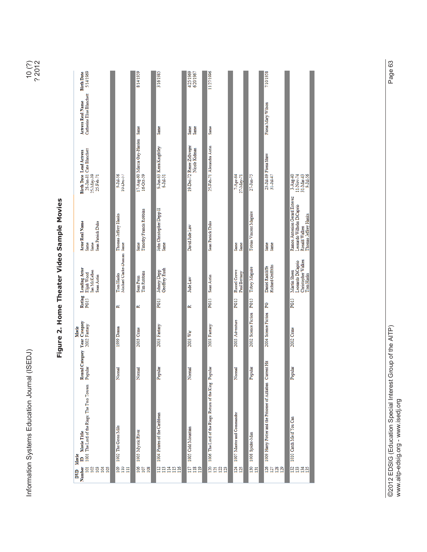| ı                                                                               |
|---------------------------------------------------------------------------------|
| ı                                                                               |
|                                                                                 |
| ֚֘֝֬                                                                            |
| $\frac{1}{2}$<br>ļ                                                              |
|                                                                                 |
|                                                                                 |
|                                                                                 |
| $\overline{\phantom{a}}$                                                        |
| ֚֘֝֬<br>j<br>$\frac{1}{2}$                                                      |
|                                                                                 |
| l<br>l                                                                          |
|                                                                                 |
|                                                                                 |
| I<br>$\overline{\phantom{a}}$                                                   |
| ì<br>l                                                                          |
| l<br>I                                                                          |
| s<br>C                                                                          |
| it country<br>֖֖֖֖֖֖֖֖֖֖֖֧֖֖֧֪֪֪֪֪֪֪֪֪֧֚֚֚֚֚֚֚֚֚֚֚֚֚֚֚֚֚֚֚֚֚֚֚֚֚֚֚֬֝֓֞֝֓֞֞<br>i |
|                                                                                 |
| j<br>l                                                                          |
| ֧֦֧֢֖֖֖֖֚֚֚֚֚֚֬<br>į                                                            |
|                                                                                 |

|      | ۲<br>J<br>נ |
|------|-------------|
| г. э | Ľ           |

| ׇׇ֕                                                                       |
|---------------------------------------------------------------------------|
| l<br>l<br>l<br>I                                                          |
| I<br>$\mathbf{r}$<br>ï                                                    |
| ı<br>l<br>֚֘<br>$\frac{1}{2}$<br>ı<br>֖֖֖֪ׅ֚֚֚֚֚֚֚֚֚֚֚֚֚֚֚֚֬֡֡֡֡֬֝֬֝֓֡֬֓֡ |
| ı<br>$\overline{\phantom{a}}$<br>ı                                        |
| ı<br>ı                                                                    |
| J                                                                         |

| 5/14/1969<br><b>Birth Date</b>                                                       |                                         | 8/14/1959                                       | 3/16/1985                                             | 4/25/1969<br>6/20/1967                     | 11/27/1996                                             |                              |                               | 7/10/1958                                                 |                                                                                                     |
|--------------------------------------------------------------------------------------|-----------------------------------------|-------------------------------------------------|-------------------------------------------------------|--------------------------------------------|--------------------------------------------------------|------------------------------|-------------------------------|-----------------------------------------------------------|-----------------------------------------------------------------------------------------------------|
| Catherine Elise Blanchett<br><b>Actress Real Name</b>                                |                                         |                                                 | Same                                                  | Same<br>Same                               | Same                                                   |                              |                               | Fiona Mary Wilson                                         |                                                                                                     |
| 28-Jan-81 Cate Blanchett<br><b>Birth Date Lead Actress</b><br>25-May-39<br>25-Feb-71 | 9-Jul-56<br>$10$ -Dec- $57$             | 17-Aug-60 Marcia Gay-Harden Same<br>$16-Ort-59$ | 9-Jun-63 Keira Knightley<br>6-Jul-51                  | 19-Dec-72 Renee Zellweger<br>Nicole Kidman | 25-Feb-71 Alexandra Astin                              | 7-Apr-64<br>27-May-71        | 27-Jun-75                     | 23-Jul-89 Fiona Shaw<br>$31 - Ju1 - 47$                   | 31-Mar-43<br>3-Aug-40<br>9-Jul-56<br>11-Nov-74                                                      |
| <b>Actor Real Name</b><br>Sean Patrick Duke<br>Same<br>Same                          | Thomas Jeffrey Hanks                    | Timothy Francis Robbins<br>Same                 | John Christopher Depp II<br>Same                      | David Jude Law                             | Sean Patrick Duke                                      | Same<br>Same                 | <b>Tobias Vincent Maguire</b> | Same<br>Same                                              | Ramon Antonion Gerard Estevez<br>Leonardo Wilhelm DiCaprio<br>Thomas Jeffrey Hanks<br>Ronald Walken |
| <b>Leading Actor</b><br>Ian McKellen<br>Elijah Wood<br>Sean Astin                    | Michael Clarke-Duncan Same<br>Tom Hanks | <b>Tim Robbins</b><br>Sean Penn                 | Geoffrey Rush<br><b>Johnny Depp</b>                   | Jude Law                                   | Sean Astin                                             | Russel Crowe<br>Paul Bettany | <b>Tobey Maguire</b>          | <b>Richard Griffiths</b><br>Daniel Radcliffe              | Christopher Walken<br>Leonardo DiCaprio<br>Martin Sheen<br>Tom Hanks                                |
| Rating<br>PG13                                                                       | R                                       | R                                               | PG13                                                  | R                                          | PG13                                                   | PG13                         | PG13                          | ይ                                                         | PG13                                                                                                |
| Movie                                                                                | 1999 Drama                              | 2003 Crime                                      | 2003 Fantasy                                          | 2003 War                                   | 2003 Fantasy                                           | 2003 Adventure               | 2002 Science Fiction          | 2004 Science Fiction                                      | 2002 Crime                                                                                          |
| Rental Category Year Category<br>Popular 2002 Fantasy                                | Normal                                  | Normal                                          | Popular                                               | Normal                                     |                                                        | Normal                       | Popular                       |                                                           | Popular                                                                                             |
| 1001 The Lord of the Rings: The Two Towers<br>Movie Title<br>Movie<br>≘              | 1002 The Green Mile                     | 1003 Mystic River                               | 1004 Pirates of the Caribbean                         | 1005 Cold Mountain                         | 1006 The Lord of the Rings: Return of the King Popular | 1007 Master and Commander    | 1008 Spider-Man               | 1009 Harry Potter and the Prisoner of Azkaban Current Hit | 1010 Catch Me if You Can                                                                            |
| Number<br>$\Xi$<br>8838<br>DVD                                                       | ĝ≌∃                                     | $rac{8}{100}$                                   | $\frac{1}{2}$<br>$\Xi \Xi$<br>$\Xi$<br>$\frac{16}{1}$ | Sãa                                        | 8888                                                   | $\frac{3}{2}$                | 65                            | <u>ងគងន</u>                                               | 8838                                                                                                |